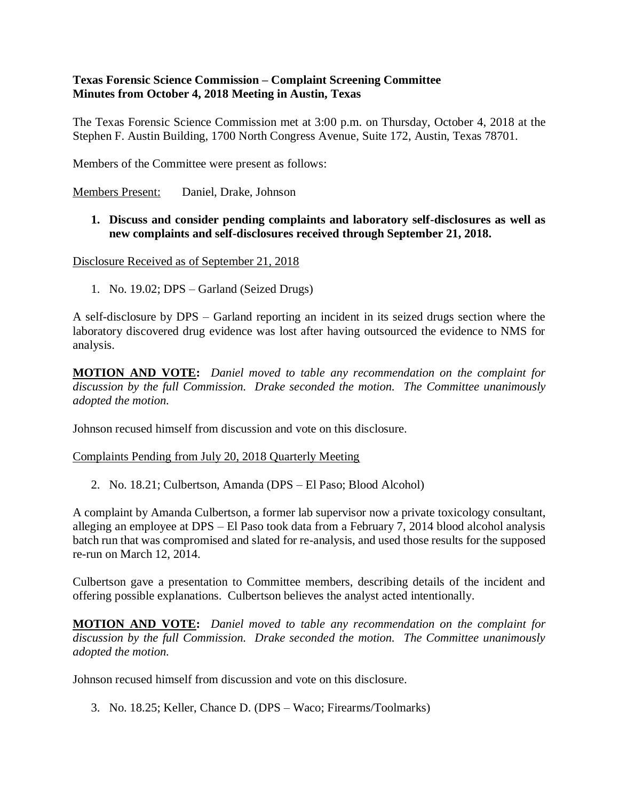# **Texas Forensic Science Commission – Complaint Screening Committee Minutes from October 4, 2018 Meeting in Austin, Texas**

The Texas Forensic Science Commission met at 3:00 p.m. on Thursday, October 4, 2018 at the Stephen F. Austin Building, 1700 North Congress Avenue, Suite 172, Austin, Texas 78701.

Members of the Committee were present as follows:

Members Present: Daniel, Drake, Johnson

## **1. Discuss and consider pending complaints and laboratory self-disclosures as well as new complaints and self-disclosures received through September 21, 2018.**

Disclosure Received as of September 21, 2018

1. No. 19.02; DPS – Garland (Seized Drugs)

A self-disclosure by DPS – Garland reporting an incident in its seized drugs section where the laboratory discovered drug evidence was lost after having outsourced the evidence to NMS for analysis.

**MOTION AND VOTE:** *Daniel moved to table any recommendation on the complaint for discussion by the full Commission. Drake seconded the motion. The Committee unanimously adopted the motion.*

Johnson recused himself from discussion and vote on this disclosure.

#### Complaints Pending from July 20, 2018 Quarterly Meeting

2. No. 18.21; Culbertson, Amanda (DPS – El Paso; Blood Alcohol)

A complaint by Amanda Culbertson, a former lab supervisor now a private toxicology consultant, alleging an employee at DPS – El Paso took data from a February 7, 2014 blood alcohol analysis batch run that was compromised and slated for re-analysis, and used those results for the supposed re-run on March 12, 2014.

Culbertson gave a presentation to Committee members, describing details of the incident and offering possible explanations. Culbertson believes the analyst acted intentionally.

**MOTION AND VOTE:** *Daniel moved to table any recommendation on the complaint for discussion by the full Commission. Drake seconded the motion. The Committee unanimously adopted the motion.*

Johnson recused himself from discussion and vote on this disclosure.

3. No. 18.25; Keller, Chance D. (DPS – Waco; Firearms/Toolmarks)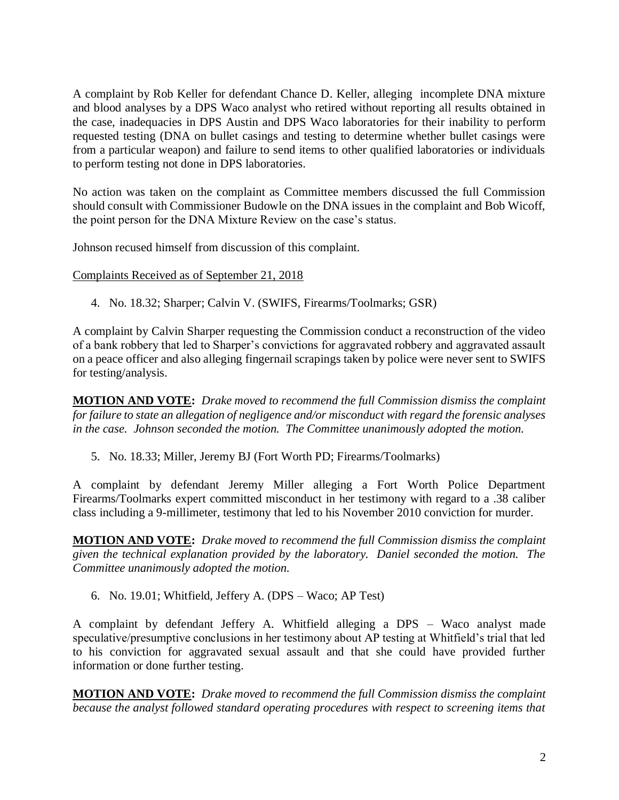A complaint by Rob Keller for defendant Chance D. Keller, alleging incomplete DNA mixture and blood analyses by a DPS Waco analyst who retired without reporting all results obtained in the case, inadequacies in DPS Austin and DPS Waco laboratories for their inability to perform requested testing (DNA on bullet casings and testing to determine whether bullet casings were from a particular weapon) and failure to send items to other qualified laboratories or individuals to perform testing not done in DPS laboratories.

No action was taken on the complaint as Committee members discussed the full Commission should consult with Commissioner Budowle on the DNA issues in the complaint and Bob Wicoff, the point person for the DNA Mixture Review on the case's status.

Johnson recused himself from discussion of this complaint.

Complaints Received as of September 21, 2018

4. No. 18.32; Sharper; Calvin V. (SWIFS, Firearms/Toolmarks; GSR)

A complaint by Calvin Sharper requesting the Commission conduct a reconstruction of the video of a bank robbery that led to Sharper's convictions for aggravated robbery and aggravated assault on a peace officer and also alleging fingernail scrapings taken by police were never sent to SWIFS for testing/analysis.

**MOTION AND VOTE:** *Drake moved to recommend the full Commission dismiss the complaint for failure to state an allegation of negligence and/or misconduct with regard the forensic analyses in the case. Johnson seconded the motion. The Committee unanimously adopted the motion.* 

5. No. 18.33; Miller, Jeremy BJ (Fort Worth PD; Firearms/Toolmarks)

A complaint by defendant Jeremy Miller alleging a Fort Worth Police Department Firearms/Toolmarks expert committed misconduct in her testimony with regard to a .38 caliber class including a 9-millimeter, testimony that led to his November 2010 conviction for murder.

**MOTION AND VOTE:** *Drake moved to recommend the full Commission dismiss the complaint given the technical explanation provided by the laboratory. Daniel seconded the motion. The Committee unanimously adopted the motion.*

6. No. 19.01; Whitfield, Jeffery A. (DPS – Waco; AP Test)

A complaint by defendant Jeffery A. Whitfield alleging a DPS – Waco analyst made speculative/presumptive conclusions in her testimony about AP testing at Whitfield's trial that led to his conviction for aggravated sexual assault and that she could have provided further information or done further testing.

**MOTION AND VOTE:** *Drake moved to recommend the full Commission dismiss the complaint because the analyst followed standard operating procedures with respect to screening items that*